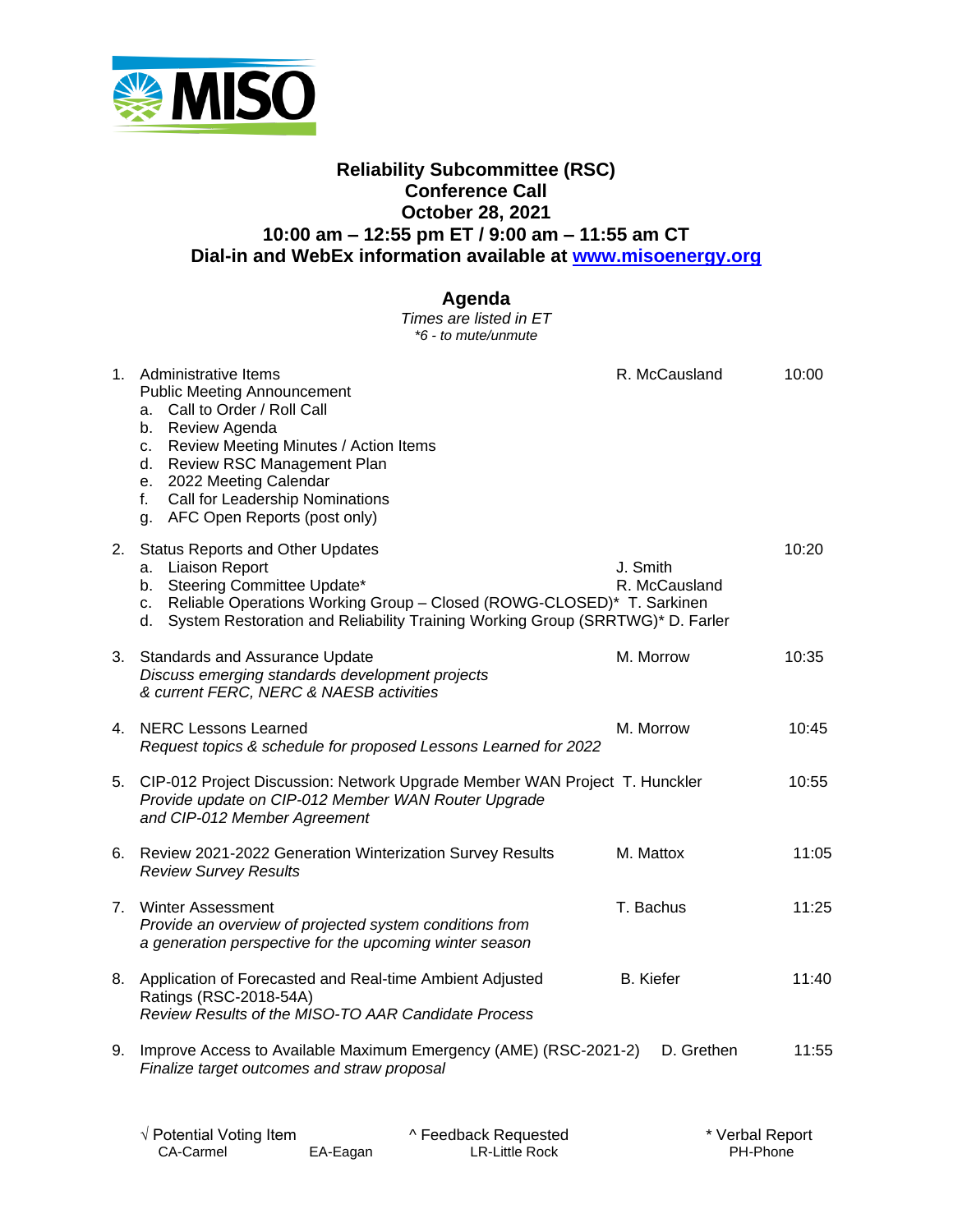

## **Reliability Subcommittee (RSC) Conference Call October 28, 2021 10:00 am – 12:55 pm ET / 9:00 am – 11:55 am CT Dial-in and WebEx information available at [www.misoenergy.org](http://www.misoenergy.org/)**

## **Agenda**

*Times are listed in ET \*6 - to mute/unmute*

|    | 1. Administrative Items<br><b>Public Meeting Announcement</b><br>Call to Order / Roll Call<br>a.<br>Review Agenda<br>b.<br>Review Meeting Minutes / Action Items<br>C.<br><b>Review RSC Management Plan</b><br>d.<br>e. 2022 Meeting Calendar<br>Call for Leadership Nominations<br>f.<br>g. AFC Open Reports (post only) | R. McCausland             | 10:00 |
|----|---------------------------------------------------------------------------------------------------------------------------------------------------------------------------------------------------------------------------------------------------------------------------------------------------------------------------|---------------------------|-------|
| 2. | <b>Status Reports and Other Updates</b><br><b>Liaison Report</b><br>a.<br>Steering Committee Update*<br>b. I<br>c. Reliable Operations Working Group - Closed (ROWG-CLOSED)* T. Sarkinen<br>System Restoration and Reliability Training Working Group (SRRTWG)* D. Farler<br>d.                                           | J. Smith<br>R. McCausland | 10:20 |
|    | 3. Standards and Assurance Update<br>Discuss emerging standards development projects<br>& current FERC, NERC & NAESB activities                                                                                                                                                                                           | M. Morrow                 | 10:35 |
|    | 4. NERC Lessons Learned<br>Request topics & schedule for proposed Lessons Learned for 2022                                                                                                                                                                                                                                | M. Morrow                 | 10:45 |
|    | 5. CIP-012 Project Discussion: Network Upgrade Member WAN Project T. Hunckler<br>Provide update on CIP-012 Member WAN Router Upgrade<br>and CIP-012 Member Agreement                                                                                                                                                      |                           | 10:55 |
|    | 6. Review 2021-2022 Generation Winterization Survey Results<br><b>Review Survey Results</b>                                                                                                                                                                                                                               | M. Mattox                 | 11:05 |
|    | 7. Winter Assessment<br>Provide an overview of projected system conditions from<br>a generation perspective for the upcoming winter season                                                                                                                                                                                | T. Bachus                 | 11:25 |
|    | 8. Application of Forecasted and Real-time Ambient Adjusted<br>Ratings (RSC-2018-54A)<br>Review Results of the MISO-TO AAR Candidate Process                                                                                                                                                                              | <b>B.</b> Kiefer          | 11:40 |
|    | 9. Improve Access to Available Maximum Emergency (AME) (RSC-2021-2)<br>Finalize target outcomes and straw proposal                                                                                                                                                                                                        | D. Grethen                | 11:55 |